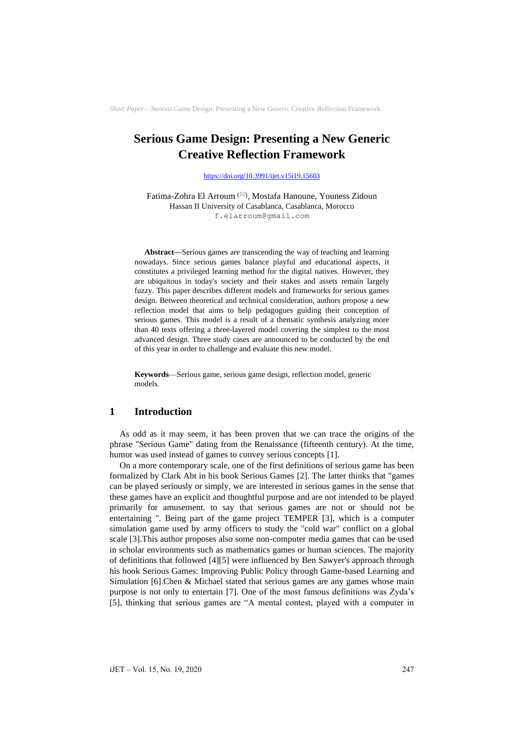# **Serious Game Design: Presenting a New Generic Creative Reflection Framework**

<https://doi.org/10.3991/ijet.v15i19.15603>

Fatima-Zohra El Arroum () , Mostafa Hanoune, Youness Zidoun Hassan II University of Casablanca, Casablanca, Morocco [f.elarroum@gmail.com](mailto:f.elarroum@gmail.com)

**Abstract—**Serious games are transcending the way of teaching and learning nowadays. Since serious games balance playful and educational aspects, it constitutes a privileged learning method for the digital natives. However, they are ubiquitous in today's society and their stakes and assets remain largely fuzzy. This paper describes different models and frameworks for serious games design. Between theoretical and technical consideration, authors propose a new reflection model that aims to help pedagogues guiding their conception of serious games. This model is a result of a thematic synthesis analyzing more than 40 texts offering a three-layered model covering the simplest to the most advanced design. Three study cases are announced to be conducted by the end of this year in order to challenge and evaluate this new model.

**Keywords**—Serious game, serious game design, reflection model, generic models.

# **1 Introduction**

As odd as it may seem, it has been proven that we can trace the origins of the phrase "Serious Game" dating from the Renaissance (fifteenth century). At the time, humor was used instead of games to convey serious concepts [1].

On a more contemporary scale, one of the first definitions of serious game has been formalized by Clark Abt in his book Serious Games [2]. The latter thinks that "games can be played seriously or simply, we are interested in serious games in the sense that these games have an explicit and thoughtful purpose and are not intended to be played primarily for amusement. to say that serious games are not or should not be entertaining ". Being part of the game project TEMPER [3], which is a computer simulation game used by army officers to study the "cold war" conflict on a global scale [3].This author proposes also some non-computer media games that can be used in scholar environments such as mathematics games or human sciences. The majority of definitions that followed [4][5] were influenced by Ben Sawyer's approach through his book Serious Games: Improving Public Policy through Game-based Learning and Simulation [6].Chen & Michael stated that serious games are any games whose main purpose is not only to entertain [7]. One of the most famous definitions was Zyda's [5], thinking that serious games are "A mental contest, played with a computer in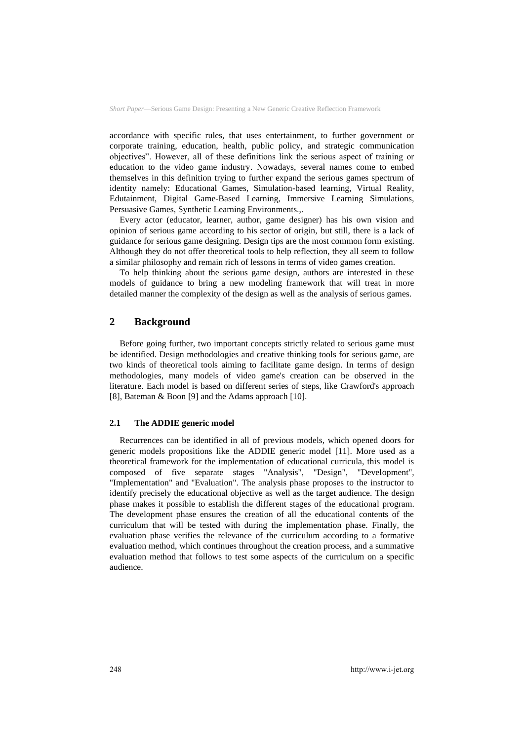accordance with specific rules, that uses entertainment, to further government or corporate training, education, health, public policy, and strategic communication objectives". However, all of these definitions link the serious aspect of training or education to the video game industry. Nowadays, several names come to embed themselves in this definition trying to further expand the serious games spectrum of identity namely: Educational Games, Simulation-based learning, Virtual Reality, Edutainment, Digital Game-Based Learning, Immersive Learning Simulations, Persuasive Games, Synthetic Learning Environments.,.

Every actor (educator, learner, author, game designer) has his own vision and opinion of serious game according to his sector of origin, but still, there is a lack of guidance for serious game designing. Design tips are the most common form existing. Although they do not offer theoretical tools to help reflection, they all seem to follow a similar philosophy and remain rich of lessons in terms of video games creation.

To help thinking about the serious game design, authors are interested in these models of guidance to bring a new modeling framework that will treat in more detailed manner the complexity of the design as well as the analysis of serious games.

# **2 Background**

Before going further, two important concepts strictly related to serious game must be identified. Design methodologies and creative thinking tools for serious game, are two kinds of theoretical tools aiming to facilitate game design. In terms of design methodologies, many models of video game's creation can be observed in the literature. Each model is based on different series of steps, like Crawford's approach [8], Bateman & Boon [9] and the Adams approach [10].

### **2.1 The ADDIE generic model**

Recurrences can be identified in all of previous models, which opened doors for generic models propositions like the ADDIE generic model [11]. More used as a theoretical framework for the implementation of educational curricula, this model is composed of five separate stages "Analysis", "Design", "Development", "Implementation" and "Evaluation". The analysis phase proposes to the instructor to identify precisely the educational objective as well as the target audience. The design phase makes it possible to establish the different stages of the educational program. The development phase ensures the creation of all the educational contents of the curriculum that will be tested with during the implementation phase. Finally, the evaluation phase verifies the relevance of the curriculum according to a formative evaluation method, which continues throughout the creation process, and a summative evaluation method that follows to test some aspects of the curriculum on a specific audience.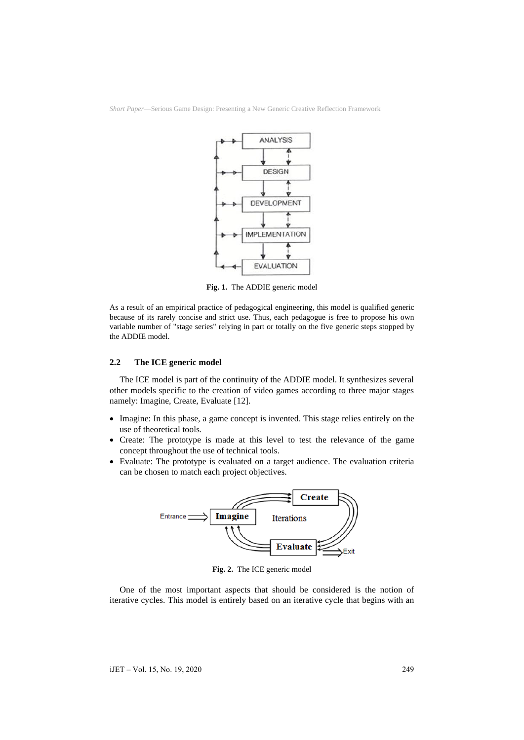

**Fig. 1.** The ADDIE generic model

As a result of an empirical practice of pedagogical engineering, this model is qualified generic because of its rarely concise and strict use. Thus, each pedagogue is free to propose his own variable number of "stage series" relying in part or totally on the five generic steps stopped by the ADDIE model.

### **2.2 The ICE generic model**

The ICE model is part of the continuity of the ADDIE model. It synthesizes several other models specific to the creation of video games according to three major stages namely: Imagine, Create, Evaluate [12].

- Imagine: In this phase, a game concept is invented. This stage relies entirely on the use of theoretical tools.
- Create: The prototype is made at this level to test the relevance of the game concept throughout the use of technical tools.
- Evaluate: The prototype is evaluated on a target audience. The evaluation criteria can be chosen to match each project objectives.



**Fig. 2.** The ICE generic model

One of the most important aspects that should be considered is the notion of iterative cycles. This model is entirely based on an iterative cycle that begins with an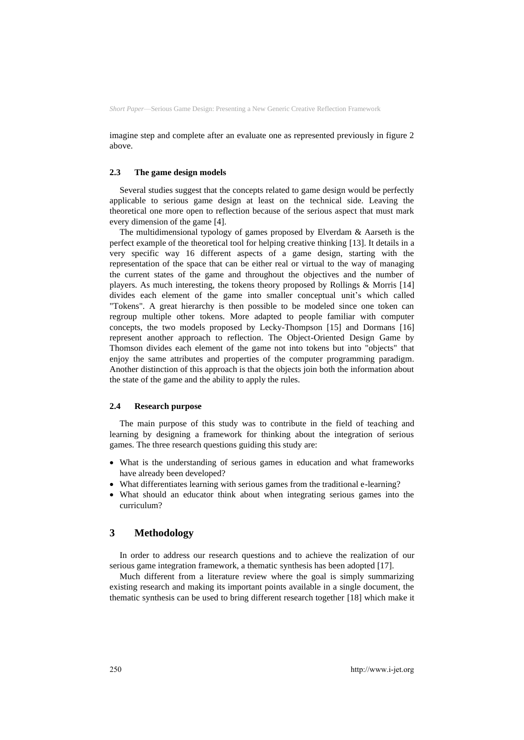imagine step and complete after an evaluate one as represented previously in figure 2 above.

### **2.3 The game design models**

Several studies suggest that the concepts related to game design would be perfectly applicable to serious game design at least on the technical side. Leaving the theoretical one more open to reflection because of the serious aspect that must mark every dimension of the game [4].

The multidimensional typology of games proposed by Elverdam & Aarseth is the perfect example of the theoretical tool for helping creative thinking [13]. It details in a very specific way 16 different aspects of a game design, starting with the representation of the space that can be either real or virtual to the way of managing the current states of the game and throughout the objectives and the number of players. As much interesting, the tokens theory proposed by Rollings & Morris [14] divides each element of the game into smaller conceptual unit's which called "Tokens". A great hierarchy is then possible to be modeled since one token can regroup multiple other tokens. More adapted to people familiar with computer concepts, the two models proposed by Lecky-Thompson [15] and Dormans [16] represent another approach to reflection. The Object-Oriented Design Game by Thomson divides each element of the game not into tokens but into "objects" that enjoy the same attributes and properties of the computer programming paradigm. Another distinction of this approach is that the objects join both the information about the state of the game and the ability to apply the rules.

#### **2.4 Research purpose**

The main purpose of this study was to contribute in the field of teaching and learning by designing a framework for thinking about the integration of serious games. The three research questions guiding this study are:

- What is the understanding of serious games in education and what frameworks have already been developed?
- What differentiates learning with serious games from the traditional e-learning?
- What should an educator think about when integrating serious games into the curriculum?

### **3 Methodology**

In order to address our research questions and to achieve the realization of our serious game integration framework, a thematic synthesis has been adopted [17].

Much different from a literature review where the goal is simply summarizing existing research and making its important points available in a single document, the thematic synthesis can be used to bring different research together [18] which make it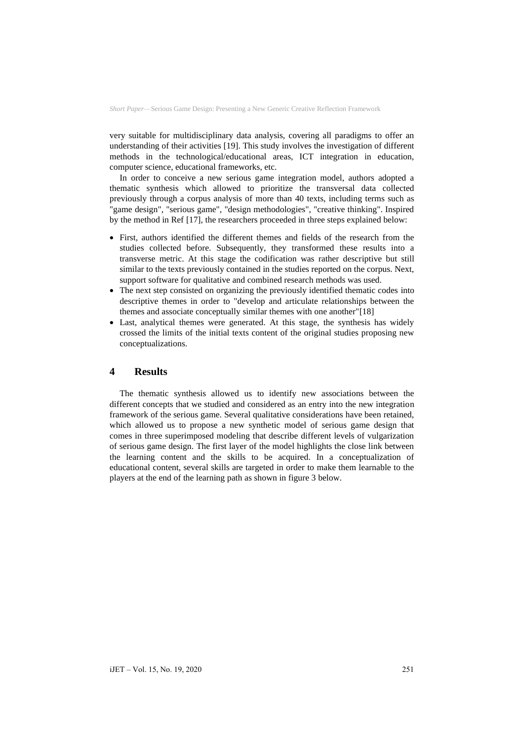very suitable for multidisciplinary data analysis, covering all paradigms to offer an understanding of their activities [19]. This study involves the investigation of different methods in the technological/educational areas, ICT integration in education, computer science, educational frameworks, etc.

In order to conceive a new serious game integration model, authors adopted a thematic synthesis which allowed to prioritize the transversal data collected previously through a corpus analysis of more than 40 texts, including terms such as "game design", "serious game", "design methodologies", "creative thinking". Inspired by the method in Ref [17], the researchers proceeded in three steps explained below:

- First, authors identified the different themes and fields of the research from the studies collected before. Subsequently, they transformed these results into a transverse metric. At this stage the codification was rather descriptive but still similar to the texts previously contained in the studies reported on the corpus. Next, support software for qualitative and combined research methods was used.
- The next step consisted on organizing the previously identified thematic codes into descriptive themes in order to "develop and articulate relationships between the themes and associate conceptually similar themes with one another"[18]
- Last, analytical themes were generated. At this stage, the synthesis has widely crossed the limits of the initial texts content of the original studies proposing new conceptualizations.

# **4 Results**

The thematic synthesis allowed us to identify new associations between the different concepts that we studied and considered as an entry into the new integration framework of the serious game. Several qualitative considerations have been retained, which allowed us to propose a new synthetic model of serious game design that comes in three superimposed modeling that describe different levels of vulgarization of serious game design. The first layer of the model highlights the close link between the learning content and the skills to be acquired. In a conceptualization of educational content, several skills are targeted in order to make them learnable to the players at the end of the learning path as shown in figure 3 below.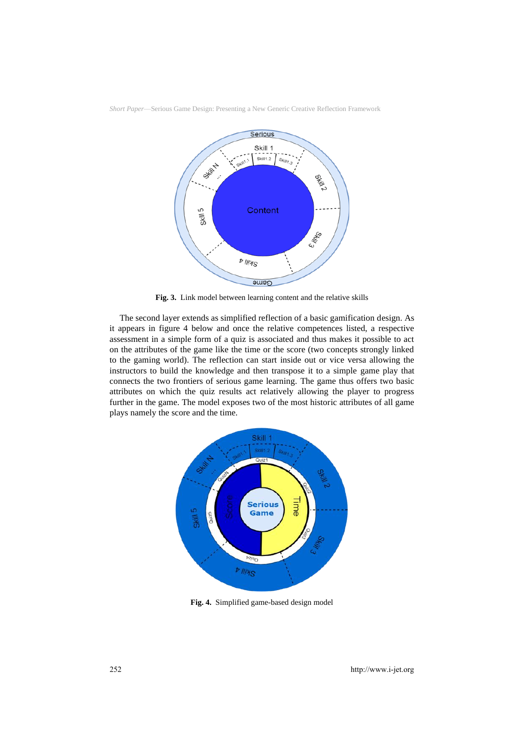

**Fig. 3.** Link model between learning content and the relative skills

The second layer extends as simplified reflection of a basic gamification design. As it appears in figure 4 below and once the relative competences listed, a respective assessment in a simple form of a quiz is associated and thus makes it possible to act on the attributes of the game like the time or the score (two concepts strongly linked to the gaming world). The reflection can start inside out or vice versa allowing the instructors to build the knowledge and then transpose it to a simple game play that connects the two frontiers of serious game learning. The game thus offers two basic attributes on which the quiz results act relatively allowing the player to progress further in the game. The model exposes two of the most historic attributes of all game plays namely the score and the time.



**Fig. 4.** Simplified game-based design model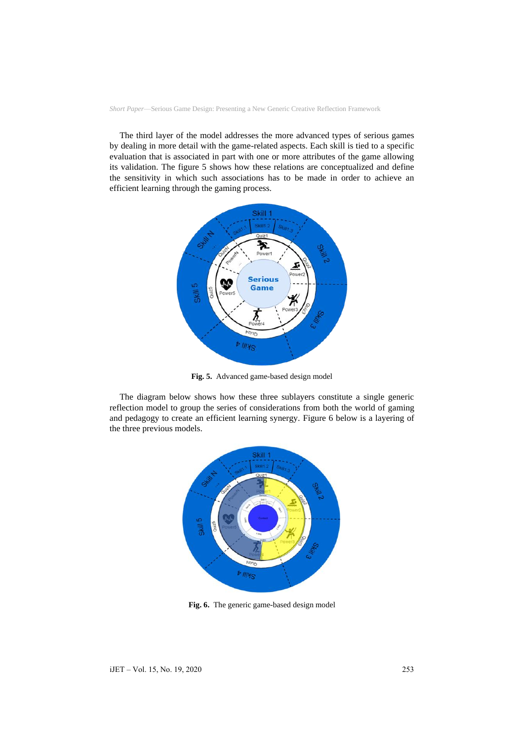The third layer of the model addresses the more advanced types of serious games by dealing in more detail with the game-related aspects. Each skill is tied to a specific evaluation that is associated in part with one or more attributes of the game allowing its validation. The figure 5 shows how these relations are conceptualized and define the sensitivity in which such associations has to be made in order to achieve an efficient learning through the gaming process.



**Fig. 5.** Advanced game-based design model

The diagram below shows how these three sublayers constitute a single generic reflection model to group the series of considerations from both the world of gaming and pedagogy to create an efficient learning synergy. Figure 6 below is a layering of the three previous models.



**Fig. 6.** The generic game-based design model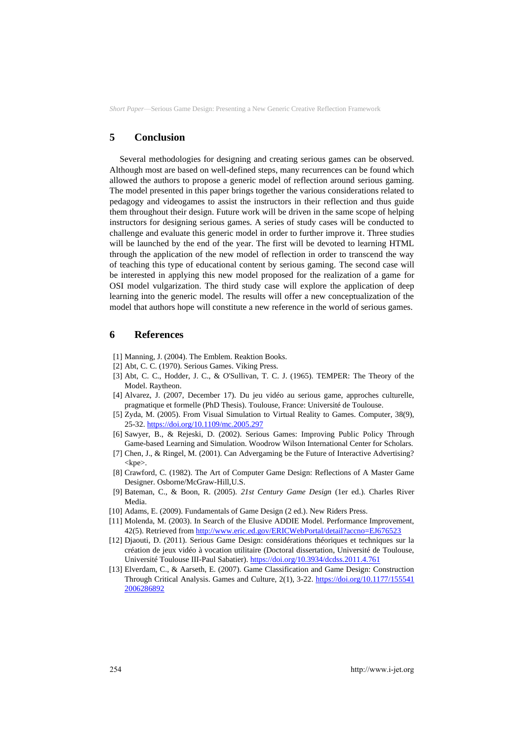# **5 Conclusion**

Several methodologies for designing and creating serious games can be observed. Although most are based on well-defined steps, many recurrences can be found which allowed the authors to propose a generic model of reflection around serious gaming. The model presented in this paper brings together the various considerations related to pedagogy and videogames to assist the instructors in their reflection and thus guide them throughout their design. Future work will be driven in the same scope of helping instructors for designing serious games. A series of study cases will be conducted to challenge and evaluate this generic model in order to further improve it. Three studies will be launched by the end of the year. The first will be devoted to learning HTML through the application of the new model of reflection in order to transcend the way of teaching this type of educational content by serious gaming. The second case will be interested in applying this new model proposed for the realization of a game for OSI model vulgarization. The third study case will explore the application of deep learning into the generic model. The results will offer a new conceptualization of the model that authors hope will constitute a new reference in the world of serious games.

### **6 References**

- [1] Manning, J. (2004). The Emblem. Reaktion Books.
- [2] Abt, C. C. (1970). Serious Games. Viking Press.
- [3] Abt, C. C., Hodder, J. C., & O'Sullivan, T. C. J. (1965). TEMPER: The Theory of the Model. Raytheon.
- [4] Alvarez, J. (2007, December 17). Du jeu vidéo au serious game, approches culturelle, pragmatique et formelle (PhD Thesis). Toulouse, France: Université de Toulouse.
- [5] Zyda, M. (2005). From Visual Simulation to Virtual Reality to Games. Computer, 38(9), 25-32.<https://doi.org/10.1109/mc.2005.297>
- [6] Sawyer, B., & Rejeski, D. (2002). Serious Games: Improving Public Policy Through Game-based Learning and Simulation. Woodrow Wilson International Center for Scholars.
- [7] Chen, J., & Ringel, M. (2001). Can Advergaming be the Future of Interactive Advertising?  $<$ kpe $>$ .
- [8] Crawford, C. (1982). The Art of Computer Game Design: Reflections of A Master Game Designer. Osborne/McGraw-Hill,U.S.
- [9] Bateman, C., & Boon, R. (2005). *21st Century Game Design* (1er ed.). Charles River Media.
- [10] Adams, E. (2009). Fundamentals of Game Design (2 ed.). New Riders Press.
- [11] Molenda, M. (2003). In Search of the Elusive ADDIE Model. Performance Improvement, 42(5). Retrieved fro[m http://www.eric.ed.gov/ERICWebPortal/detail?accno=EJ676523](http://www.eric.ed.gov/ERICWebPortal/detail?accno=EJ676523)
- [12] Djaouti, D. (2011). Serious Game Design: considérations théoriques et techniques sur la création de jeux vidéo à vocation utilitaire (Doctoral dissertation, Université de Toulouse, Université Toulouse III-Paul Sabatier)[. https://doi.org/10.3934/dcdss.2011.4.761](https://doi.org/10.3934/dcdss.2011.4.761)
- [13] Elverdam, C., & Aarseth, E. (2007). Game Classification and Game Design: Construction Through Critical Analysis. Games and Culture, 2(1), 3-22[. https://doi.org/10.1177/155541](https://doi.org/10.1177/1555412006286892) [2006286892](https://doi.org/10.1177/1555412006286892)